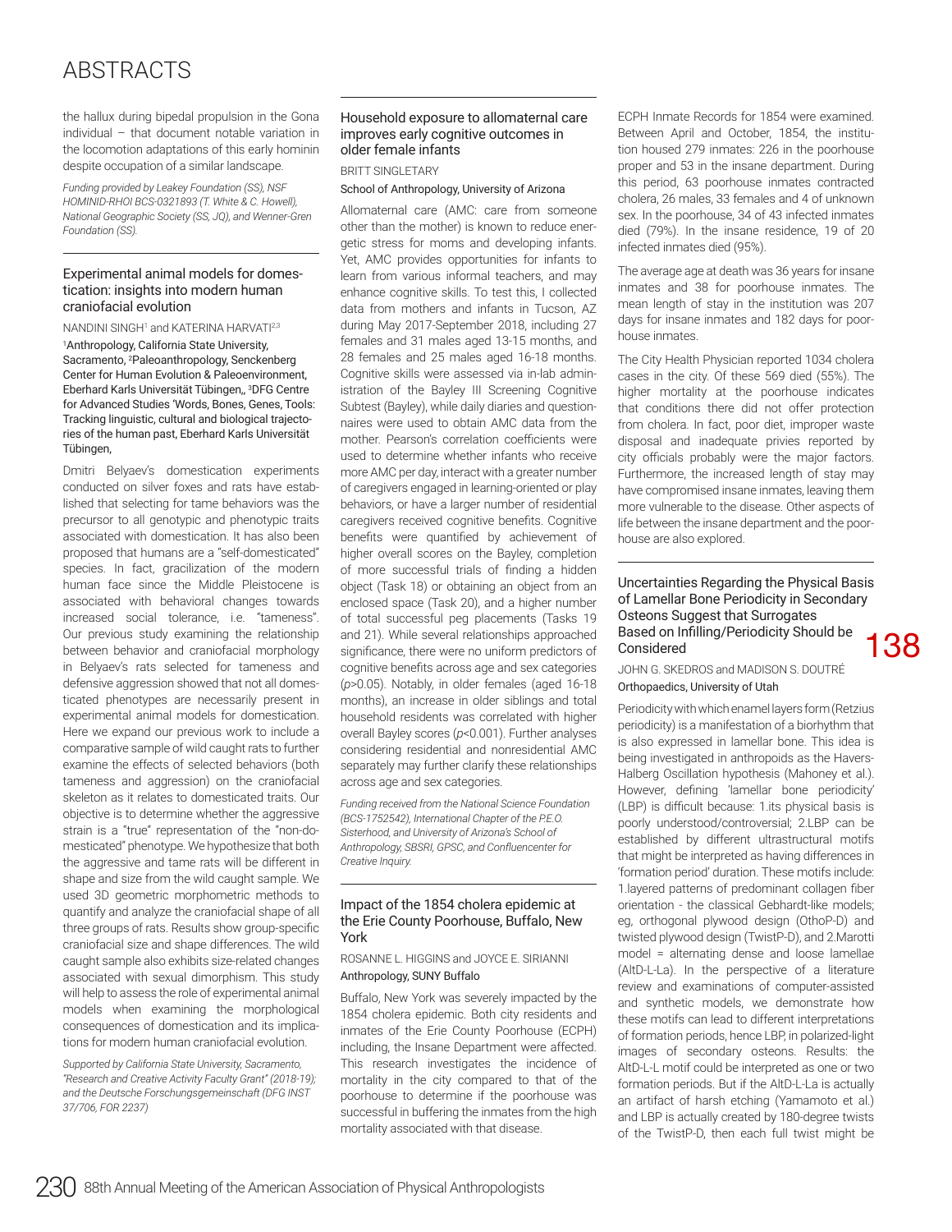# ABSTRACTS

the hallux during bipedal propulsion in the Gona individual – that document notable variation in the locomotion adaptations of this early hominin despite occupation of a similar landscape.

*Funding provided by Leakey Foundation (SS), NSF HOMINID-RHOI BCS-0321893 (T. White & C. Howell), National Geographic Society (SS, JQ), and Wenner-Gren Foundation (SS).*

#### Experimental animal models for domestication: insights into modern human craniofacial evolution

NANDINI SINGH<sup>1</sup> and KATERINA HARVATI<sup>2,3</sup>

1 Anthropology, California State University, Sacramento, 2 Paleoanthropology, Senckenberg Center for Human Evolution & Paleoenvironment, Eberhard Karls Universität Tübingen,, <sup>3</sup>DFG Centre for Advanced Studies 'Words, Bones, Genes, Tools: Tracking linguistic, cultural and biological trajectories of the human past, Eberhard Karls Universität Tübingen,

Dmitri Belyaev's domestication experiments conducted on silver foxes and rats have established that selecting for tame behaviors was the precursor to all genotypic and phenotypic traits associated with domestication. It has also been proposed that humans are a "self-domesticated" species. In fact, gracilization of the modern human face since the Middle Pleistocene is associated with behavioral changes towards increased social tolerance, i.e. "tameness". Our previous study examining the relationship between behavior and craniofacial morphology in Belyaev's rats selected for tameness and defensive aggression showed that not all domesticated phenotypes are necessarily present in experimental animal models for domestication. Here we expand our previous work to include a comparative sample of wild caught rats to further examine the effects of selected behaviors (both tameness and aggression) on the craniofacial skeleton as it relates to domesticated traits. Our objective is to determine whether the aggressive strain is a "true" representation of the "non-domesticated" phenotype. We hypothesize that both the aggressive and tame rats will be different in shape and size from the wild caught sample. We used 3D geometric morphometric methods to quantify and analyze the craniofacial shape of all three groups of rats. Results show group-specifc craniofacial size and shape differences. The wild caught sample also exhibits size-related changes associated with sexual dimorphism. This study will help to assess the role of experimental animal models when examining the morphological consequences of domestication and its implications for modern human craniofacial evolution.

*Supported by California State University, Sacramento, "Research and Creative Activity Faculty Grant" (2018-19); and the Deutsche Forschungsgemeinschaft (DFG INST 37/706, FOR 2237)*

## Household exposure to allomaternal care improves early cognitive outcomes in older female infants

BRITT SINGLETARY

School of Anthropology, University of Arizona

Allomaternal care (AMC: care from someone other than the mother) is known to reduce energetic stress for moms and developing infants. Yet, AMC provides opportunities for infants to learn from various informal teachers, and may enhance cognitive skills. To test this, I collected data from mothers and infants in Tucson, AZ during May 2017-September 2018, including 27 females and 31 males aged 13-15 months, and 28 females and 25 males aged 16-18 months. Cognitive skills were assessed via in-lab administration of the Bayley III Screening Cognitive Subtest (Bayley), while daily diaries and questionnaires were used to obtain AMC data from the mother. Pearson's correlation coefficients were used to determine whether infants who receive more AMC per day, interact with a greater number of caregivers engaged in learning-oriented or play behaviors, or have a larger number of residential caregivers received cognitive benefts. Cognitive benefts were quantifed by achievement of higher overall scores on the Bayley, completion of more successful trials of fnding a hidden object (Task 18) or obtaining an object from an enclosed space (Task 20), and a higher number of total successful peg placements (Tasks 19 and 21). While several relationships approached signifcance, there were no uniform predictors of cognitive benefts across age and sex categories (*p*>0.05). Notably, in older females (aged 16-18 months), an increase in older siblings and total household residents was correlated with higher overall Bayley scores (*p*<0.001). Further analyses considering residential and nonresidential AMC separately may further clarify these relationships across age and sex categories.

*Funding received from the National Science Foundation (BCS-1752542), International Chanter of the PF.O. Sisterhood, and University of Arizona's School of Anthropology, SBSRI, GPSC, and Confuencenter for Creative Inquiry.*

#### Impact of the 1854 cholera epidemic at the Erie County Poorhouse, Buffalo, New York

ROSANNE L. HIGGINS and JOYCE E. SIRIANNI Anthropology, SUNY Buffalo

Buffalo, New York was severely impacted by the 1854 cholera epidemic. Both city residents and inmates of the Erie County Poorhouse (ECPH) including, the Insane Department were affected. This research investigates the incidence of mortality in the city compared to that of the poorhouse to determine if the poorhouse was successful in buffering the inmates from the high mortality associated with that disease.

ECPH Inmate Records for 1854 were examined. Between April and October, 1854, the institution housed 279 inmates: 226 in the poorhouse proper and 53 in the insane department. During this period, 63 poorhouse inmates contracted cholera, 26 males, 33 females and 4 of unknown sex. In the poorhouse, 34 of 43 infected inmates died (79%). In the insane residence, 19 of 20 infected inmates died (95%).

The average age at death was 36 years for insane inmates and 38 for poorhouse inmates. The mean length of stay in the institution was 207 days for insane inmates and 182 days for poorhouse inmates.

The City Health Physician reported 1034 cholera cases in the city. Of these 569 died (55%). The higher mortality at the poorhouse indicates that conditions there did not offer protection from cholera. In fact, poor diet, improper waste disposal and inadequate privies reported by city officials probably were the major factors. Furthermore, the increased length of stay may have compromised insane inmates, leaving them more vulnerable to the disease. Other aspects of life between the insane department and the poorhouse are also explored.

### Uncertainties Regarding the Physical Basis of Lamellar Bone Periodicity in Secondary Osteons Suggest that Surrogates Based on Inflling/Periodicity Should be Considered

138

JOHN G. SKEDROS and MADISON S. DOUTRÉ

# Orthopaedics, University of Utah

Periodicity with which enamel layers form (Retzius periodicity) is a manifestation of a biorhythm that is also expressed in lamellar bone. This idea is being investigated in anthropoids as the Havers-Halberg Oscillation hypothesis (Mahoney et al.). However, defning 'lamellar bone periodicity' (LBP) is difficult because: 1.its physical basis is poorly understood/controversial; 2.LBP can be established by different ultrastructural motifs that might be interpreted as having differences in 'formation period' duration. These motifs include: 1.layered patterns of predominant collagen fber orientation - the classical Gebhardt-like models; eg, orthogonal plywood design (OthoP-D) and twisted plywood design (TwistP-D), and 2.Marotti model = alternating dense and loose lamellae (AltD-L-La). In the perspective of a literature review and examinations of computer-assisted and synthetic models, we demonstrate how these motifs can lead to different interpretations of formation periods, hence LBP, in polarized-light images of secondary osteons. Results: the AltD-L-L motif could be interpreted as one or two formation periods. But if the AltD-L-La is actually an artifact of harsh etching (Yamamoto et al.) and LBP is actually created by 180-degree twists of the TwistP-D, then each full twist might be